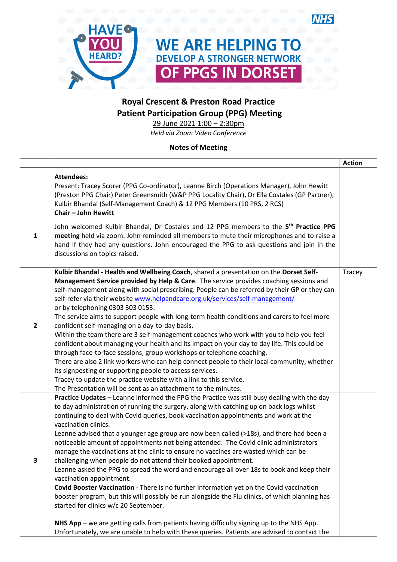

## **Royal Crescent & Preston Road Practice Patient Participation Group (PPG) Meeting**

29 June 2021 1:00 – 2:30pm *Held via Zoom Video Conference*

## **Notes of Meeting**

|                |                                                                                                                                                                                                                                                                                                                                                                                                                                                                                                                                                                                                                                                                                                                                                                                                                                                                                                                                                                                                                                                                                                                                                                                                                      | <b>Action</b> |
|----------------|----------------------------------------------------------------------------------------------------------------------------------------------------------------------------------------------------------------------------------------------------------------------------------------------------------------------------------------------------------------------------------------------------------------------------------------------------------------------------------------------------------------------------------------------------------------------------------------------------------------------------------------------------------------------------------------------------------------------------------------------------------------------------------------------------------------------------------------------------------------------------------------------------------------------------------------------------------------------------------------------------------------------------------------------------------------------------------------------------------------------------------------------------------------------------------------------------------------------|---------------|
|                | <b>Attendees:</b><br>Present: Tracey Scorer (PPG Co-ordinator), Leanne Birch (Operations Manager), John Hewitt<br>(Preston PPG Chair) Peter Greensmith (W&P PPG Locality Chair), Dr Ella Costales (GP Partner),<br>Kulbir Bhandal (Self-Management Coach) & 12 PPG Members (10 PRS, 2 RCS)<br>Chair - John Hewitt                                                                                                                                                                                                                                                                                                                                                                                                                                                                                                                                                                                                                                                                                                                                                                                                                                                                                                    |               |
| $\mathbf{1}$   | John welcomed Kulbir Bhandal, Dr Costales and 12 PPG members to the 5 <sup>th</sup> Practice PPG<br>meeting held via zoom. John reminded all members to mute their microphones and to raise a<br>hand if they had any questions. John encouraged the PPG to ask questions and join in the<br>discussions on topics raised.                                                                                                                                                                                                                                                                                                                                                                                                                                                                                                                                                                                                                                                                                                                                                                                                                                                                                           |               |
| $\overline{2}$ | Kulbir Bhandal - Health and Wellbeing Coach, shared a presentation on the Dorset Self-<br>Management Service provided by Help & Care. The service provides coaching sessions and<br>self-management along with social prescribing. People can be referred by their GP or they can<br>self-refer via their website www.helpandcare.org.uk/services/self-management/<br>or by telephoning 0303 303 0153.<br>The service aims to support people with long-term health conditions and carers to feel more<br>confident self-managing on a day-to-day basis.<br>Within the team there are 3 self-management coaches who work with you to help you feel<br>confident about managing your health and its impact on your day to day life. This could be<br>through face-to-face sessions, group workshops or telephone coaching.<br>There are also 2 link workers who can help connect people to their local community, whether<br>its signposting or supporting people to access services.<br>Tracey to update the practice website with a link to this service.<br>The Presentation will be sent as an attachment to the minutes.                                                                                          | Tracey        |
| 3              | Practice Updates - Leanne informed the PPG the Practice was still busy dealing with the day<br>to day administration of running the surgery, along with catching up on back logs whilst<br>continuing to deal with Covid queries, book vaccination appointments and work at the<br>vaccination clinics.<br>Leanne advised that a younger age group are now been called (>18s), and there had been a<br>noticeable amount of appointments not being attended. The Covid clinic administrators<br>manage the vaccinations at the clinic to ensure no vaccines are wasted which can be<br>challenging when people do not attend their booked appointment.<br>Leanne asked the PPG to spread the word and encourage all over 18s to book and keep their<br>vaccination appointment.<br>Covid Booster Vaccination - There is no further information yet on the Covid vaccination<br>booster program, but this will possibly be run alongside the Flu clinics, of which planning has<br>started for clinics w/c 20 September.<br>NHS App – we are getting calls from patients having difficulty signing up to the NHS App.<br>Unfortunately, we are unable to help with these queries. Patients are advised to contact the |               |
|                |                                                                                                                                                                                                                                                                                                                                                                                                                                                                                                                                                                                                                                                                                                                                                                                                                                                                                                                                                                                                                                                                                                                                                                                                                      |               |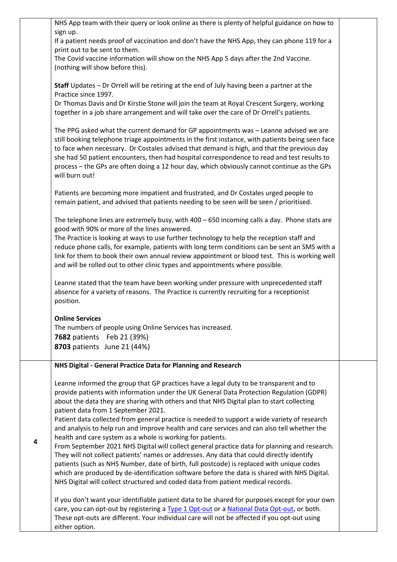|   | NHS App team with their query or look online as there is plenty of helpful guidance on how to                                                                                                                                                                                                                                                                                                                                                                                                                                  |  |
|---|--------------------------------------------------------------------------------------------------------------------------------------------------------------------------------------------------------------------------------------------------------------------------------------------------------------------------------------------------------------------------------------------------------------------------------------------------------------------------------------------------------------------------------|--|
|   | sign up.<br>If a patient needs proof of vaccination and don't have the NHS App, they can phone 119 for a                                                                                                                                                                                                                                                                                                                                                                                                                       |  |
|   | print out to be sent to them.                                                                                                                                                                                                                                                                                                                                                                                                                                                                                                  |  |
|   | The Covid vaccine information will show on the NHS App 5 days after the 2nd Vaccine.                                                                                                                                                                                                                                                                                                                                                                                                                                           |  |
|   | (nothing will show before this).                                                                                                                                                                                                                                                                                                                                                                                                                                                                                               |  |
|   | Staff Updates - Dr Orrell will be retiring at the end of July having been a partner at the<br>Practice since 1997.                                                                                                                                                                                                                                                                                                                                                                                                             |  |
|   | Dr Thomas Davis and Dr Kirstie Stone will join the team at Royal Crescent Surgery, working<br>together in a job share arrangement and will take over the care of Dr Orrell's patients.                                                                                                                                                                                                                                                                                                                                         |  |
|   | The PPG asked what the current demand for GP appointments was - Leanne advised we are<br>still booking telephone triage appointments in the first instance, with patients being seen face<br>to face when necessary. Dr Costales advised that demand is high, and that the previous day<br>she had 50 patient encounters, then had hospital correspondence to read and test results to<br>process - the GPs are often doing a 12 hour day, which obviously cannot continue as the GPs<br>will burn out!                        |  |
|   | Patients are becoming more impatient and frustrated, and Dr Costales urged people to<br>remain patient, and advised that patients needing to be seen will be seen / prioritised.                                                                                                                                                                                                                                                                                                                                               |  |
|   | The telephone lines are extremely busy, with $400 - 650$ incoming calls a day. Phone stats are<br>good with 90% or more of the lines answered.<br>The Practice is looking at ways to use further technology to help the reception staff and<br>reduce phone calls, for example, patients with long term conditions can be sent an SMS with a<br>link for them to book their own annual review appointment or blood test. This is working well<br>and will be rolled out to other clinic types and appointments where possible. |  |
|   | Leanne stated that the team have been working under pressure with unprecedented staff<br>absence for a variety of reasons. The Practice is currently recruiting for a receptionist<br>position.                                                                                                                                                                                                                                                                                                                                |  |
|   | <b>Online Services</b>                                                                                                                                                                                                                                                                                                                                                                                                                                                                                                         |  |
|   | The numbers of people using Online Services has increased.                                                                                                                                                                                                                                                                                                                                                                                                                                                                     |  |
|   | <b>7682</b> patients Feb 21 (39%)<br>8703 patients June 21 (44%)                                                                                                                                                                                                                                                                                                                                                                                                                                                               |  |
|   |                                                                                                                                                                                                                                                                                                                                                                                                                                                                                                                                |  |
|   | NHS Digital - General Practice Data for Planning and Research                                                                                                                                                                                                                                                                                                                                                                                                                                                                  |  |
|   | Leanne informed the group that GP practices have a legal duty to be transparent and to<br>provide patients with information under the UK General Data Protection Regulation (GDPR)<br>about the data they are sharing with others and that NHS Digital plan to start collecting<br>patient data from 1 September 2021.                                                                                                                                                                                                         |  |
|   | Patient data collected from general practice is needed to support a wide variety of research<br>and analysis to help run and improve health and care services and can also tell whether the<br>health and care system as a whole is working for patients.                                                                                                                                                                                                                                                                      |  |
| 4 | From September 2021 NHS Digital will collect general practice data for planning and research.<br>They will not collect patients' names or addresses. Any data that could directly identify                                                                                                                                                                                                                                                                                                                                     |  |
|   | patients (such as NHS Number, date of birth, full postcode) is replaced with unique codes<br>which are produced by de-identification software before the data is shared with NHS Digital.<br>NHS Digital will collect structured and coded data from patient medical records.                                                                                                                                                                                                                                                  |  |
|   | If you don't want your identifiable patient data to be shared for purposes except for your own<br>care, you can opt-out by registering a Type 1 Opt-out or a National Data Opt-out, or both.<br>These opt-outs are different. Your individual care will not be affected if you opt-out using<br>either option.                                                                                                                                                                                                                 |  |